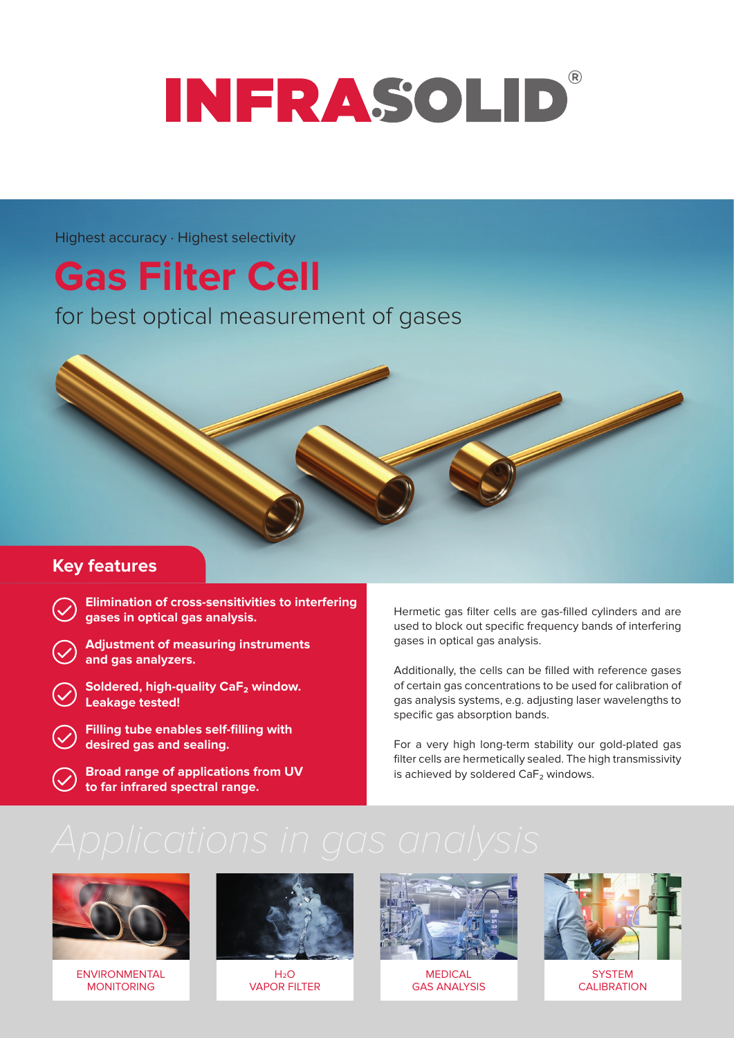## $\mathbb{R}$ **INFRASOLID**

Highest accuracy · Highest selectivity

# **Gas Filter Cell**

for best optical measurement of gases

### **Key features**

- **Elimination of cross-sensitivities to interfering gases in optical gas analysis.**
- **Adjustment of measuring instruments and gas analyzers.**
- **Soldered, high-quality CaF₂ window. Leakage tested!**
- **Filling tube enables self-filling with desired gas and sealing.**
- **Broad range of applications from UV to far infrared spectral range.**

Hermetic gas filter cells are gas-filled cylinders and are used to block out specific frequency bands of interfering gases in optical gas analysis.

Additionally, the cells can be filled with reference gases of certain gas concentrations to be used for calibration of gas analysis systems, e.g. adjusting laser wavelengths to specific gas absorption bands.

For a very high long-term stability our gold-plated gas filter cells are hermetically sealed. The high transmissivity is achieved by soldered CaF<sub>2</sub> windows.



ENVIRONMENTAL MONITORING



 $H_2O$ VAPOR FILTER



MEDICAL GAS ANALYSIS



**SYSTEM CALIBRATION**